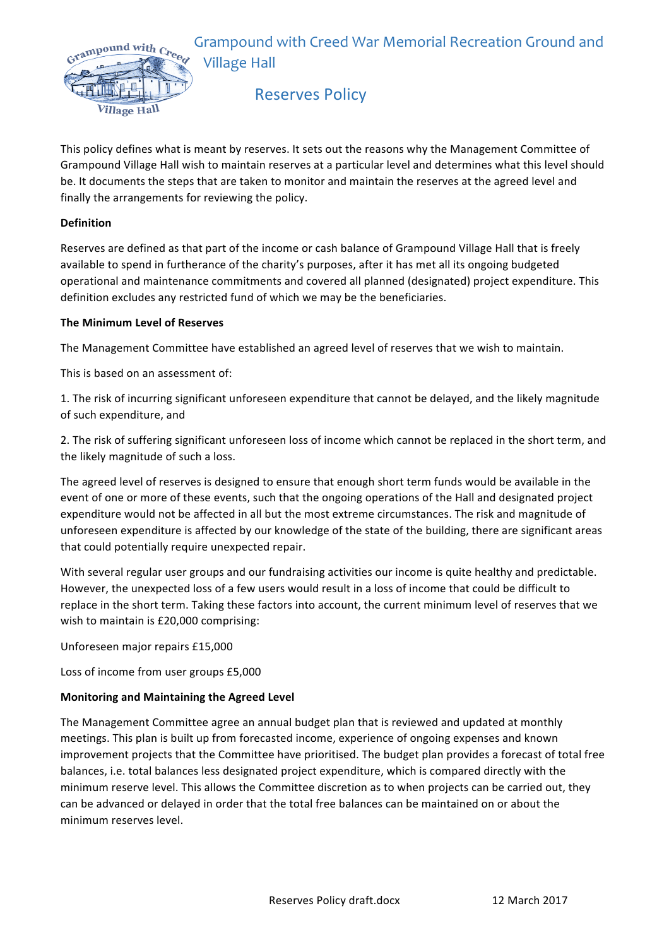Grampound with Creed War Memorial Recreation Ground and **Village Hall** 



# **Reserves Policy**

This policy defines what is meant by reserves. It sets out the reasons why the Management Committee of Grampound Village Hall wish to maintain reserves at a particular level and determines what this level should be. It documents the steps that are taken to monitor and maintain the reserves at the agreed level and finally the arrangements for reviewing the policy.

## **Definition**

Reserves are defined as that part of the income or cash balance of Grampound Village Hall that is freely available to spend in furtherance of the charity's purposes, after it has met all its ongoing budgeted operational and maintenance commitments and covered all planned (designated) project expenditure. This definition excludes any restricted fund of which we may be the beneficiaries.

### **The Minimum Level of Reserves**

The Management Committee have established an agreed level of reserves that we wish to maintain.

This is based on an assessment of:

1. The risk of incurring significant unforeseen expenditure that cannot be delayed, and the likely magnitude of such expenditure, and

2. The risk of suffering significant unforeseen loss of income which cannot be replaced in the short term, and the likely magnitude of such a loss.

The agreed level of reserves is designed to ensure that enough short term funds would be available in the event of one or more of these events, such that the ongoing operations of the Hall and designated project expenditure would not be affected in all but the most extreme circumstances. The risk and magnitude of unforeseen expenditure is affected by our knowledge of the state of the building, there are significant areas that could potentially require unexpected repair.

With several regular user groups and our fundraising activities our income is quite healthy and predictable. However, the unexpected loss of a few users would result in a loss of income that could be difficult to replace in the short term. Taking these factors into account, the current minimum level of reserves that we wish to maintain is £20,000 comprising:

Unforeseen major repairs £15,000

Loss of income from user groups £5,000

## **Monitoring and Maintaining the Agreed Level**

The Management Committee agree an annual budget plan that is reviewed and updated at monthly meetings. This plan is built up from forecasted income, experience of ongoing expenses and known improvement projects that the Committee have prioritised. The budget plan provides a forecast of total free balances, i.e. total balances less designated project expenditure, which is compared directly with the minimum reserve level. This allows the Committee discretion as to when projects can be carried out, they can be advanced or delayed in order that the total free balances can be maintained on or about the minimum reserves level.